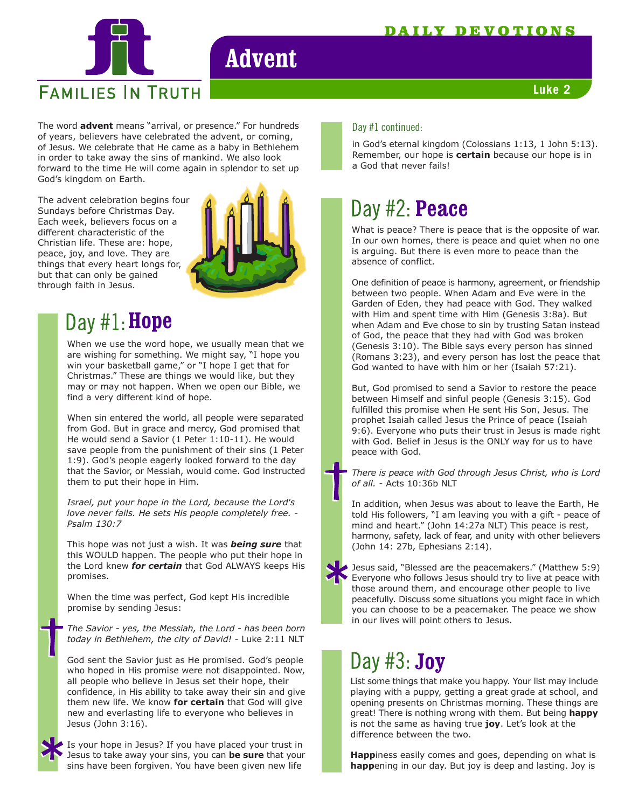

# **Advent**

#### **Luke 2**

The word **advent** means "arrival, or presence." For hundreds Day #1 continued: of years, believers have celebrated the advent, or coming, of Jesus. We celebrate that He came as a baby in Bethlehem in order to take away the sins of mankind. We also look forward to the time He will come again in splendor to set up God's kingdom on Earth.

The advent celebration begins four Sundays before Christmas Day. Each week, believers focus on a different characteristic of the Christian life. These are: hope, peace, joy, and love. They are things that every heart longs for, but that can only be gained through faith in Jesus.



## Day #1: **Hope**

When we use the word hope, we usually mean that we are wishing for something. We might say, "I hope you win your basketball game," or "I hope I get that for Christmas." These are things we would like, but they may or may not happen. When we open our Bible, we find a very different kind of hope.

When sin entered the world, all people were separated from God. But in grace and mercy, God promised that He would send a Savior (1 Peter 1:10-11). He would save people from the punishment of their sins (1 Peter 1:9). God's people eagerly looked forward to the day that the Savior, or Messiah, would come. God instructed them to put their hope in Him.

*Israel, put your hope in the Lord, because the Lord's love never fails. He sets His people completely free. - Psalm 130:7*

This hope was not just a wish. It was *being sure* that this WOULD happen. The people who put their hope in the Lord knew *for certain* that God ALWAYS keeps His promises.

When the time was perfect, God kept His incredible promise by sending Jesus:

*The Savior - yes, the Messiah, the Lord - has been born today in Bethlehem, the city of David!* - Luke 2:11 NLT

God sent the Savior just as He promised. God's people who hoped in His promise were not disappointed. Now, all people who believe in Jesus set their hope, their confidence, in His ability to take away their sin and give them new life. We know **for certain** that God will give new and everlasting life to everyone who believes in Jesus (John 3:16).

Is your hope in Jesus? If you have placed your trust in Jesus to take away your sins, you can **be sure** that your sins have been forgiven. You have been given new life

in God's eternal kingdom (Colossians 1:13, 1 John 5:13). Remember, our hope is **certain** because our hope is in a God that never fails!

### Day #2: Peace

What is peace? There is peace that is the opposite of war. In our own homes, there is peace and quiet when no one is arguing. But there is even more to peace than the absence of conflict.

One definition of peace is harmony, agreement, or friendship between two people. When Adam and Eve were in the Garden of Eden, they had peace with God. They walked with Him and spent time with Him (Genesis 3:8a). But when Adam and Eve chose to sin by trusting Satan instead of God, the peace that they had with God was broken (Genesis 3:10). The Bible says every person has sinned (Romans 3:23), and every person has lost the peace that God wanted to have with him or her (Isaiah 57:21).

But, God promised to send a Savior to restore the peace between Himself and sinful people (Genesis 3:15). God fulfilled this promise when He sent His Son, Jesus. The prophet Isaiah called Jesus the Prince of peace (Isaiah 9:6). Everyone who puts their trust in Jesus is made right with God. Belief in Jesus is the ONLY way for us to have peace with God.

*There is peace with God through Jesus Christ, who is Lord of all.* - Acts 10:36b NLT

In addition, when Jesus was about to leave the Earth, He told His followers, "I am leaving you with a gift - peace of mind and heart." (John 14:27a NLT) This peace is rest, harmony, safety, lack of fear, and unity with other believers (John 14: 27b, Ephesians 2:14).

Jesus said, "Blessed are the peacemakers." (Matthew 5:9) Everyone who follows Jesus should try to live at peace with those around them, and encourage other people to live peacefully. Discuss some situations you might face in which you can choose to be a peacemaker. The peace we show in our lives will point others to Jesus.

## Day #3: **Joy**

List some things that make you happy. Your list may include playing with a puppy, getting a great grade at school, and opening presents on Christmas morning. These things are great! There is nothing wrong with them. But being **happy** is not the same as having true **joy**. Let's look at the difference between the two.

**Happ**iness easily comes and goes, depending on what is **happ**ening in our day. But joy is deep and lasting. Joy is